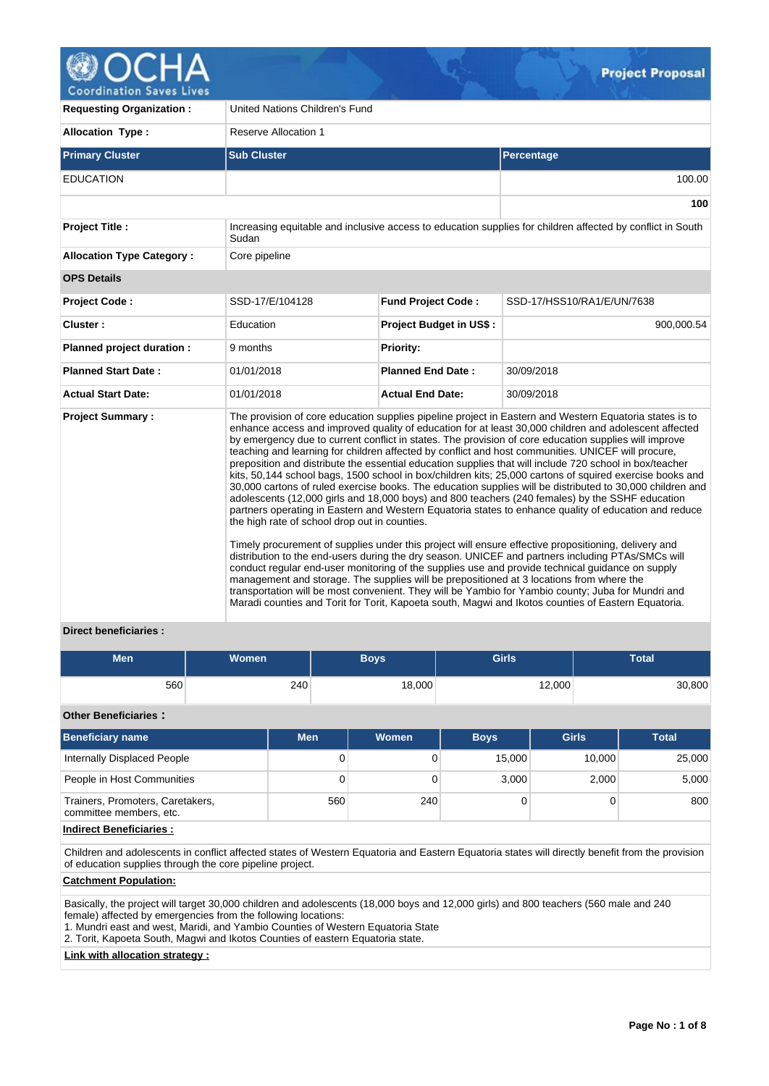

| <b>Requesting Organization:</b>  | United Nations Children's Fund                |                                                                                          |                                                                                                                                                                                                                                                                                                                                                                                                                                                                                                                                                                                                                                                                                                                                                                                                                                                                                                                                                                                                                                                                                                                                                                                                                                                                                                                                                                                                                                                                                                               |  |  |  |  |
|----------------------------------|-----------------------------------------------|------------------------------------------------------------------------------------------|---------------------------------------------------------------------------------------------------------------------------------------------------------------------------------------------------------------------------------------------------------------------------------------------------------------------------------------------------------------------------------------------------------------------------------------------------------------------------------------------------------------------------------------------------------------------------------------------------------------------------------------------------------------------------------------------------------------------------------------------------------------------------------------------------------------------------------------------------------------------------------------------------------------------------------------------------------------------------------------------------------------------------------------------------------------------------------------------------------------------------------------------------------------------------------------------------------------------------------------------------------------------------------------------------------------------------------------------------------------------------------------------------------------------------------------------------------------------------------------------------------------|--|--|--|--|
| <b>Allocation Type:</b>          | Reserve Allocation 1                          |                                                                                          |                                                                                                                                                                                                                                                                                                                                                                                                                                                                                                                                                                                                                                                                                                                                                                                                                                                                                                                                                                                                                                                                                                                                                                                                                                                                                                                                                                                                                                                                                                               |  |  |  |  |
| <b>Primary Cluster</b>           | <b>Sub Cluster</b>                            |                                                                                          | <b>Percentage</b>                                                                                                                                                                                                                                                                                                                                                                                                                                                                                                                                                                                                                                                                                                                                                                                                                                                                                                                                                                                                                                                                                                                                                                                                                                                                                                                                                                                                                                                                                             |  |  |  |  |
| <b>EDUCATION</b>                 |                                               |                                                                                          | 100.00                                                                                                                                                                                                                                                                                                                                                                                                                                                                                                                                                                                                                                                                                                                                                                                                                                                                                                                                                                                                                                                                                                                                                                                                                                                                                                                                                                                                                                                                                                        |  |  |  |  |
|                                  |                                               |                                                                                          | 100                                                                                                                                                                                                                                                                                                                                                                                                                                                                                                                                                                                                                                                                                                                                                                                                                                                                                                                                                                                                                                                                                                                                                                                                                                                                                                                                                                                                                                                                                                           |  |  |  |  |
| <b>Project Title:</b>            | Sudan                                         |                                                                                          | Increasing equitable and inclusive access to education supplies for children affected by conflict in South                                                                                                                                                                                                                                                                                                                                                                                                                                                                                                                                                                                                                                                                                                                                                                                                                                                                                                                                                                                                                                                                                                                                                                                                                                                                                                                                                                                                    |  |  |  |  |
| <b>Allocation Type Category:</b> | Core pipeline                                 |                                                                                          |                                                                                                                                                                                                                                                                                                                                                                                                                                                                                                                                                                                                                                                                                                                                                                                                                                                                                                                                                                                                                                                                                                                                                                                                                                                                                                                                                                                                                                                                                                               |  |  |  |  |
| <b>OPS Details</b>               |                                               |                                                                                          |                                                                                                                                                                                                                                                                                                                                                                                                                                                                                                                                                                                                                                                                                                                                                                                                                                                                                                                                                                                                                                                                                                                                                                                                                                                                                                                                                                                                                                                                                                               |  |  |  |  |
| <b>Project Code:</b>             | SSD-17/E/104128                               | <b>Fund Project Code:</b>                                                                | SSD-17/HSS10/RA1/E/UN/7638                                                                                                                                                                                                                                                                                                                                                                                                                                                                                                                                                                                                                                                                                                                                                                                                                                                                                                                                                                                                                                                                                                                                                                                                                                                                                                                                                                                                                                                                                    |  |  |  |  |
| Cluster:                         | Education                                     | <b>Project Budget in US\$:</b>                                                           | 900.000.54                                                                                                                                                                                                                                                                                                                                                                                                                                                                                                                                                                                                                                                                                                                                                                                                                                                                                                                                                                                                                                                                                                                                                                                                                                                                                                                                                                                                                                                                                                    |  |  |  |  |
| Planned project duration :       | 9 months                                      | <b>Priority:</b>                                                                         |                                                                                                                                                                                                                                                                                                                                                                                                                                                                                                                                                                                                                                                                                                                                                                                                                                                                                                                                                                                                                                                                                                                                                                                                                                                                                                                                                                                                                                                                                                               |  |  |  |  |
| <b>Planned Start Date:</b>       | 01/01/2018                                    | <b>Planned End Date:</b>                                                                 | 30/09/2018                                                                                                                                                                                                                                                                                                                                                                                                                                                                                                                                                                                                                                                                                                                                                                                                                                                                                                                                                                                                                                                                                                                                                                                                                                                                                                                                                                                                                                                                                                    |  |  |  |  |
| <b>Actual Start Date:</b>        | 01/01/2018                                    | <b>Actual End Date:</b>                                                                  | 30/09/2018                                                                                                                                                                                                                                                                                                                                                                                                                                                                                                                                                                                                                                                                                                                                                                                                                                                                                                                                                                                                                                                                                                                                                                                                                                                                                                                                                                                                                                                                                                    |  |  |  |  |
| <b>Project Summary:</b>          | the high rate of school drop out in counties. | management and storage. The supplies will be prepositioned at 3 locations from where the | The provision of core education supplies pipeline project in Eastern and Western Equatoria states is to<br>enhance access and improved quality of education for at least 30,000 children and adolescent affected<br>by emergency due to current conflict in states. The provision of core education supplies will improve<br>teaching and learning for children affected by conflict and host communities. UNICEF will procure,<br>preposition and distribute the essential education supplies that will include 720 school in box/teacher<br>kits, 50,144 school bags, 1500 school in box/children kits; 25,000 cartons of squired exercise books and<br>30,000 cartons of ruled exercise books. The education supplies will be distributed to 30,000 children and<br>adolescents (12,000 girls and 18,000 boys) and 800 teachers (240 females) by the SSHF education<br>partners operating in Eastern and Western Equatoria states to enhance quality of education and reduce<br>Timely procurement of supplies under this project will ensure effective propositioning, delivery and<br>distribution to the end-users during the dry season. UNICEF and partners including PTAs/SMCs will<br>conduct regular end-user monitoring of the supplies use and provide technical guidance on supply<br>transportation will be most convenient. They will be Yambio for Yambio county; Juba for Mundri and<br>Maradi counties and Torit for Torit, Kapoeta south, Magwi and Ikotos counties of Eastern Equatoria. |  |  |  |  |

# **Direct beneficiaries :**

| <b>Men</b> | Women <sup>1</sup> | Boys'  | <b>Girls</b> | <b>Total</b> |
|------------|--------------------|--------|--------------|--------------|
| 560        | 240                | 18,000 | 12,000       | 30,800       |

## **Other Beneficiaries :**

| <b>Beneficiary name</b>                                     | <b>Men</b> | Women | <b>Boys</b> | <b>Girls</b> | <b>Total</b> |
|-------------------------------------------------------------|------------|-------|-------------|--------------|--------------|
| Internally Displaced People                                 | 0          |       | 15.000      | 10.000       | 25,000       |
| People in Host Communities                                  | 0          |       | 3.000       | 2.000        | 5,000        |
| Trainers, Promoters, Caretakers,<br>committee members, etc. | 560        | 240   |             |              | 800          |

## **Indirect Beneficiaries :**

Children and adolescents in conflict affected states of Western Equatoria and Eastern Equatoria states will directly benefit from the provision of education supplies through the core pipeline project.

# **Catchment Population:**

Basically, the project will target 30,000 children and adolescents (18,000 boys and 12,000 girls) and 800 teachers (560 male and 240 female) affected by emergencies from the following locations:

1. Mundri east and west, Maridi, and Yambio Counties of Western Equatoria State

2. Torit, Kapoeta South, Magwi and Ikotos Counties of eastern Equatoria state.

## **Link with allocation strategy :**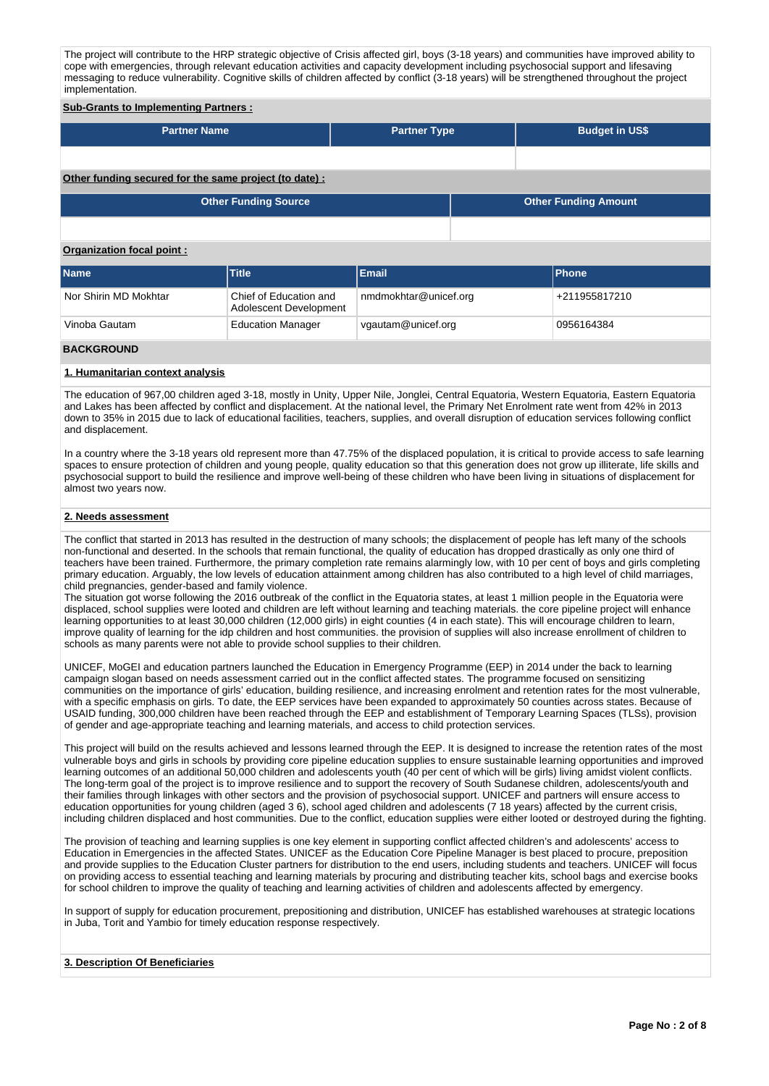The project will contribute to the HRP strategic objective of Crisis affected girl, boys (3-18 years) and communities have improved ability to cope with emergencies, through relevant education activities and capacity development including psychosocial support and lifesaving messaging to reduce vulnerability. Cognitive skills of children affected by conflict (3-18 years) will be strengthened throughout the project implementation.

#### **Sub-Grants to Implementing Partners :**

| <b>Partner Name</b>                                   | <b>Partner Type</b> | <b>Budget in US\$</b> |
|-------------------------------------------------------|---------------------|-----------------------|
|                                                       |                     |                       |
| Other funding secured for the same project (to date): |                     |                       |

| <b>Other Funding Source</b> | <b>Other Funding Amount</b> |
|-----------------------------|-----------------------------|
|                             |                             |

#### **Organization focal point :**

| Name                  | <b>Title</b>                                     | Email                 | <b>IPhone</b> |
|-----------------------|--------------------------------------------------|-----------------------|---------------|
| Nor Shirin MD Mokhtar | Chief of Education and<br>Adolescent Development | nmdmokhtar@unicef.org | +211955817210 |
| Vinoba Gautam         | <b>Education Manager</b>                         | vgautam@unicef.org    | 0956164384    |

# **BACKGROUND**

## **1. Humanitarian context analysis**

The education of 967,00 children aged 3-18, mostly in Unity, Upper Nile, Jonglei, Central Equatoria, Western Equatoria, Eastern Equatoria and Lakes has been affected by conflict and displacement. At the national level, the Primary Net Enrolment rate went from 42% in 2013 down to 35% in 2015 due to lack of educational facilities, teachers, supplies, and overall disruption of education services following conflict and displacement.

In a country where the 3-18 years old represent more than 47.75% of the displaced population, it is critical to provide access to safe learning spaces to ensure protection of children and young people, quality education so that this generation does not grow up illiterate, life skills and psychosocial support to build the resilience and improve well-being of these children who have been living in situations of displacement for almost two years now.

### **2. Needs assessment**

The conflict that started in 2013 has resulted in the destruction of many schools; the displacement of people has left many of the schools non-functional and deserted. In the schools that remain functional, the quality of education has dropped drastically as only one third of teachers have been trained. Furthermore, the primary completion rate remains alarmingly low, with 10 per cent of boys and girls completing primary education. Arguably, the low levels of education attainment among children has also contributed to a high level of child marriages, child pregnancies, gender-based and family violence.

The situation got worse following the 2016 outbreak of the conflict in the Equatoria states, at least 1 million people in the Equatoria were displaced, school supplies were looted and children are left without learning and teaching materials. the core pipeline project will enhance learning opportunities to at least 30,000 children (12,000 girls) in eight counties (4 in each state). This will encourage children to learn, improve quality of learning for the idp children and host communities. the provision of supplies will also increase enrollment of children to schools as many parents were not able to provide school supplies to their children.

UNICEF, MoGEI and education partners launched the Education in Emergency Programme (EEP) in 2014 under the back to learning campaign slogan based on needs assessment carried out in the conflict affected states. The programme focused on sensitizing communities on the importance of girls' education, building resilience, and increasing enrolment and retention rates for the most vulnerable, with a specific emphasis on girls. To date, the EEP services have been expanded to approximately 50 counties across states. Because of USAID funding, 300,000 children have been reached through the EEP and establishment of Temporary Learning Spaces (TLSs), provision of gender and age-appropriate teaching and learning materials, and access to child protection services.

This project will build on the results achieved and lessons learned through the EEP. It is designed to increase the retention rates of the most vulnerable boys and girls in schools by providing core pipeline education supplies to ensure sustainable learning opportunities and improved learning outcomes of an additional 50,000 children and adolescents youth (40 per cent of which will be girls) living amidst violent conflicts. The long-term goal of the project is to improve resilience and to support the recovery of South Sudanese children, adolescents/youth and their families through linkages with other sectors and the provision of psychosocial support. UNICEF and partners will ensure access to education opportunities for young children (aged 3 6), school aged children and adolescents (7 18 years) affected by the current crisis, including children displaced and host communities. Due to the conflict, education supplies were either looted or destroyed during the fighting.

The provision of teaching and learning supplies is one key element in supporting conflict affected children's and adolescents' access to Education in Emergencies in the affected States. UNICEF as the Education Core Pipeline Manager is best placed to procure, preposition and provide supplies to the Education Cluster partners for distribution to the end users, including students and teachers. UNICEF will focus on providing access to essential teaching and learning materials by procuring and distributing teacher kits, school bags and exercise books for school children to improve the quality of teaching and learning activities of children and adolescents affected by emergency.

In support of supply for education procurement, prepositioning and distribution, UNICEF has established warehouses at strategic locations in Juba, Torit and Yambio for timely education response respectively.

#### **3. Description Of Beneficiaries**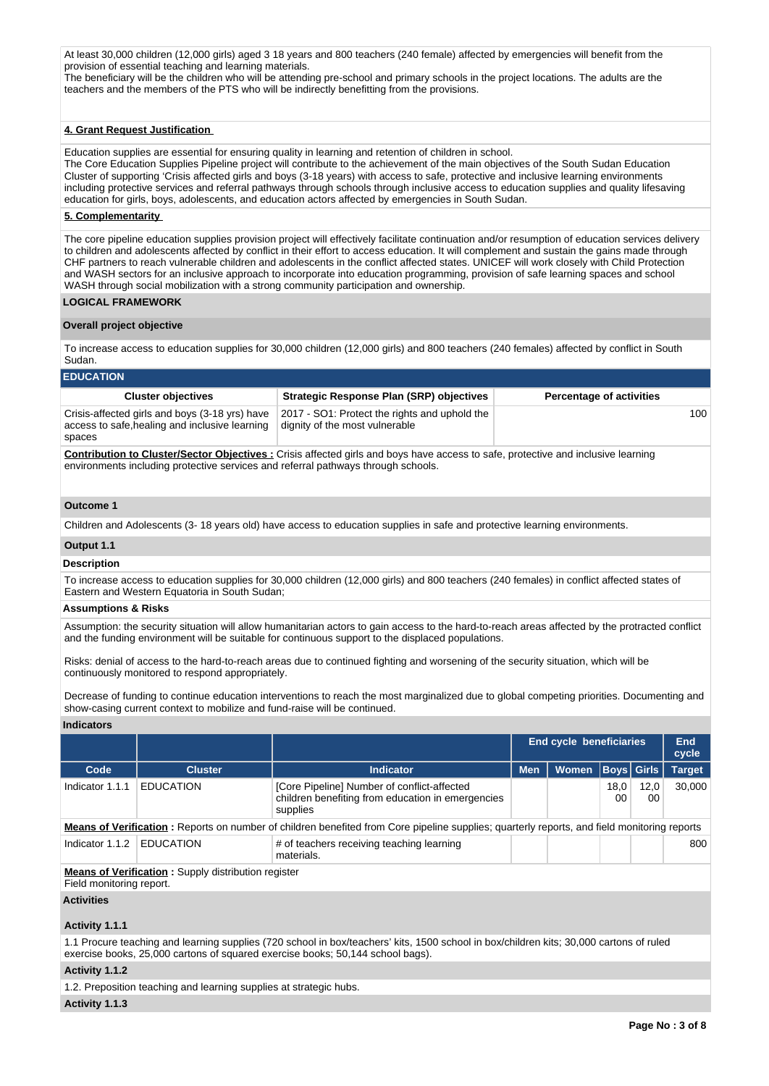At least 30,000 children (12,000 girls) aged 3 18 years and 800 teachers (240 female) affected by emergencies will benefit from the provision of essential teaching and learning materials.

The beneficiary will be the children who will be attending pre-school and primary schools in the project locations. The adults are the teachers and the members of the PTS who will be indirectly benefitting from the provisions.

#### **4. Grant Request Justification**

Education supplies are essential for ensuring quality in learning and retention of children in school. The Core Education Supplies Pipeline project will contribute to the achievement of the main objectives of the South Sudan Education Cluster of supporting 'Crisis affected girls and boys (3-18 years) with access to safe, protective and inclusive learning environments including protective services and referral pathways through schools through inclusive access to education supplies and quality lifesaving education for girls, boys, adolescents, and education actors affected by emergencies in South Sudan.

#### **5. Complementarity**

The core pipeline education supplies provision project will effectively facilitate continuation and/or resumption of education services delivery to children and adolescents affected by conflict in their effort to access education. It will complement and sustain the gains made through CHF partners to reach vulnerable children and adolescents in the conflict affected states. UNICEF will work closely with Child Protection and WASH sectors for an inclusive approach to incorporate into education programming, provision of safe learning spaces and school WASH through social mobilization with a strong community participation and ownership.

## **LOGICAL FRAMEWORK**

#### **Overall project objective**

To increase access to education supplies for 30,000 children (12,000 girls) and 800 teachers (240 females) affected by conflict in South Sudan.

## **EDUCATION**

| <b>Cluster objectives</b>                                                                                                               | <b>Strategic Response Plan (SRP) objectives</b>                                 | <b>Percentage of activities</b> |
|-----------------------------------------------------------------------------------------------------------------------------------------|---------------------------------------------------------------------------------|---------------------------------|
| Crisis-affected girls and boys (3-18 yrs) have<br>access to safe, healing and inclusive learning<br>spaces                              | 2017 - SO1: Protect the rights and uphold the<br>dignity of the most vulnerable | 100                             |
| <b>Contribution to Cluster/Sector Objectives:</b> Crisis affected girls and boys have access to safe, protective and inclusive learning |                                                                                 |                                 |

**Contribution to Cluster/Sector Objectives :** Crisis affected girls and boys have access to safe, protective and inclusive learning environments including protective services and referral pathways through schools.

#### **Outcome 1**

Children and Adolescents (3- 18 years old) have access to education supplies in safe and protective learning environments.

## **Output 1.1**

#### **Description**

To increase access to education supplies for 30,000 children (12,000 girls) and 800 teachers (240 females) in conflict affected states of Eastern and Western Equatoria in South Sudan;

#### **Assumptions & Risks**

Assumption: the security situation will allow humanitarian actors to gain access to the hard-to-reach areas affected by the protracted conflict and the funding environment will be suitable for continuous support to the displaced populations.

Risks: denial of access to the hard-to-reach areas due to continued fighting and worsening of the security situation, which will be continuously monitored to respond appropriately.

Decrease of funding to continue education interventions to reach the most marginalized due to global competing priorities. Documenting and show-casing current context to mobilize and fund-raise will be continued.

## **Indicators**

|                                                                                        |                  | <b>End cycle beneficiaries</b>                                                                                                              |            |              |             |            | <b>End</b><br>cycle |  |  |  |
|----------------------------------------------------------------------------------------|------------------|---------------------------------------------------------------------------------------------------------------------------------------------|------------|--------------|-------------|------------|---------------------|--|--|--|
| Code                                                                                   | <b>Cluster</b>   | <b>Indicator</b>                                                                                                                            | <b>Men</b> | <b>Women</b> | Boys  Girls |            | <b>Target</b>       |  |  |  |
| Indicator 1.1.1                                                                        | <b>EDUCATION</b> | [Core Pipeline] Number of conflict-affected<br>children benefiting from education in emergencies<br>supplies                                |            |              | 18,0<br>00  | 12,0<br>00 | 30,000              |  |  |  |
|                                                                                        |                  | Means of Verification: Reports on number of children benefited from Core pipeline supplies; quarterly reports, and field monitoring reports |            |              |             |            |                     |  |  |  |
| Indicator 1.1.2                                                                        | <b>EDUCATION</b> | # of teachers receiving teaching learning<br>materials.                                                                                     |            |              |             |            | 800                 |  |  |  |
| <b>Means of Verification:</b> Supply distribution register<br>Field monitoring report. |                  |                                                                                                                                             |            |              |             |            |                     |  |  |  |

#### **Activities**

#### **Activity 1.1.1**

1.1 Procure teaching and learning supplies (720 school in box/teachers' kits, 1500 school in box/children kits; 30,000 cartons of ruled exercise books, 25,000 cartons of squared exercise books; 50,144 school bags).

## **Activity 1.1.2**

1.2. Preposition teaching and learning supplies at strategic hubs.

#### **Activity 1.1.3**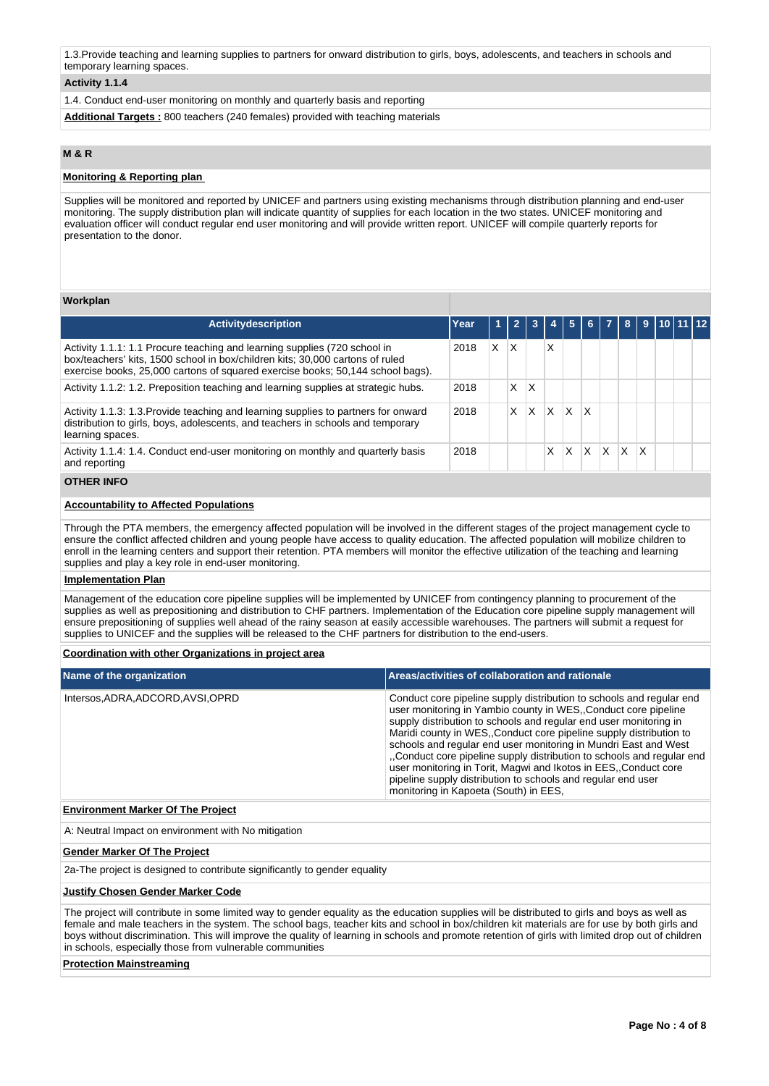1.3.Provide teaching and learning supplies to partners for onward distribution to girls, boys, adolescents, and teachers in schools and temporary learning spaces.

## **Activity 1.1.4**

1.4. Conduct end-user monitoring on monthly and quarterly basis and reporting

**Additional Targets :** 800 teachers (240 females) provided with teaching materials

# **M & R**

## **Monitoring & Reporting plan**

Supplies will be monitored and reported by UNICEF and partners using existing mechanisms through distribution planning and end-user monitoring. The supply distribution plan will indicate quantity of supplies for each location in the two states. UNICEF monitoring and evaluation officer will conduct regular end user monitoring and will provide written report. UNICEF will compile quarterly reports for presentation to the donor.

#### **Workplan**

| Activitydescription                                                                                                                                                                                                                          | Year |   |   |   |   | 5        | 61 |              | 8        |              | $9 \mid 10 \mid 11 \mid 12$ |  |
|----------------------------------------------------------------------------------------------------------------------------------------------------------------------------------------------------------------------------------------------|------|---|---|---|---|----------|----|--------------|----------|--------------|-----------------------------|--|
| Activity 1.1.1: 1.1 Procure teaching and learning supplies (720 school in<br>box/teachers' kits, 1500 school in box/children kits; 30,000 cartons of ruled<br>exercise books, 25,000 cartons of squared exercise books; 50,144 school bags). | 2018 | X | X |   | x |          |    |              |          |              |                             |  |
| Activity 1.1.2: 1.2. Preposition teaching and learning supplies at strategic hubs.                                                                                                                                                           | 2018 |   | X | x |   |          |    |              |          |              |                             |  |
| Activity 1.1.3: 1.3. Provide teaching and learning supplies to partners for onward<br>distribution to girls, boys, adolescents, and teachers in schools and temporary<br>learning spaces.                                                    | 2018 |   | X | x | X | X        | X  |              |          |              |                             |  |
| Activity 1.1.4: 1.4. Conduct end-user monitoring on monthly and quarterly basis<br>and reporting                                                                                                                                             | 2018 |   |   |   | X | $\times$ | ΙX | $\mathsf{X}$ | <b>X</b> | $\mathsf{X}$ |                             |  |
|                                                                                                                                                                                                                                              |      |   |   |   |   |          |    |              |          |              |                             |  |

## **OTHER INFO**

# **Accountability to Affected Populations**

Through the PTA members, the emergency affected population will be involved in the different stages of the project management cycle to ensure the conflict affected children and young people have access to quality education. The affected population will mobilize children to enroll in the learning centers and support their retention. PTA members will monitor the effective utilization of the teaching and learning supplies and play a key role in end-user monitoring.

#### **Implementation Plan**

Management of the education core pipeline supplies will be implemented by UNICEF from contingency planning to procurement of the supplies as well as prepositioning and distribution to CHF partners. Implementation of the Education core pipeline supply management will ensure prepositioning of supplies well ahead of the rainy season at easily accessible warehouses. The partners will submit a request for supplies to UNICEF and the supplies will be released to the CHF partners for distribution to the end-users.

#### **Coordination with other Organizations in project area**

| Name of the organization                 | Areas/activities of collaboration and rationale                                                                                                                                                                                                                                                                                                                                                                                                                                                                                                                                                           |
|------------------------------------------|-----------------------------------------------------------------------------------------------------------------------------------------------------------------------------------------------------------------------------------------------------------------------------------------------------------------------------------------------------------------------------------------------------------------------------------------------------------------------------------------------------------------------------------------------------------------------------------------------------------|
| Intersos, ADRA, ADCORD, AVSI, OPRD       | Conduct core pipeline supply distribution to schools and regular end<br>user monitoring in Yambio county in WES. Conduct core pipeline<br>supply distribution to schools and regular end user monitoring in<br>Maridi county in WES. Conduct core pipeline supply distribution to<br>schools and regular end user monitoring in Mundri East and West<br>"Conduct core pipeline supply distribution to schools and regular end<br>user monitoring in Torit, Magwi and Ikotos in EES, Conduct core<br>pipeline supply distribution to schools and regular end user<br>monitoring in Kapoeta (South) in EES, |
| <b>Environment Marker Of The Project</b> |                                                                                                                                                                                                                                                                                                                                                                                                                                                                                                                                                                                                           |
|                                          |                                                                                                                                                                                                                                                                                                                                                                                                                                                                                                                                                                                                           |

A: Neutral Impact on environment with No mitigation

#### **Gender Marker Of The Project**

2a-The project is designed to contribute significantly to gender equality

### **Justify Chosen Gender Marker Code**

The project will contribute in some limited way to gender equality as the education supplies will be distributed to girls and boys as well as female and male teachers in the system. The school bags, teacher kits and school in box/children kit materials are for use by both girls and boys without discrimination. This will improve the quality of learning in schools and promote retention of girls with limited drop out of children in schools, especially those from vulnerable communities

#### **Protection Mainstreaming**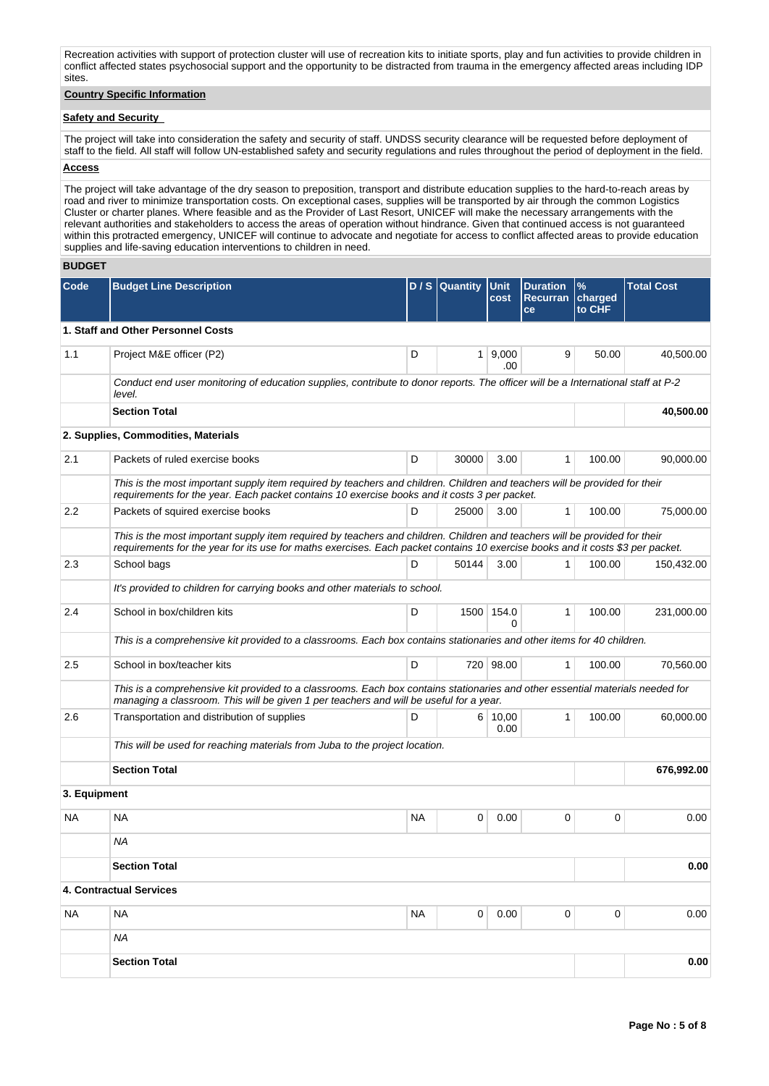Recreation activities with support of protection cluster will use of recreation kits to initiate sports, play and fun activities to provide children in conflict affected states psychosocial support and the opportunity to be distracted from trauma in the emergency affected areas including IDP sites.

# **Country Specific Information**

## **Safety and Security**

The project will take into consideration the safety and security of staff. UNDSS security clearance will be requested before deployment of staff to the field. All staff will follow UN-established safety and security regulations and rules throughout the period of deployment in the field.

# **Access**

The project will take advantage of the dry season to preposition, transport and distribute education supplies to the hard-to-reach areas by road and river to minimize transportation costs. On exceptional cases, supplies will be transported by air through the common Logistics Cluster or charter planes. Where feasible and as the Provider of Last Resort, UNICEF will make the necessary arrangements with the relevant authorities and stakeholders to access the areas of operation without hindrance. Given that continued access is not guaranteed within this protracted emergency, UNICEF will continue to advocate and negotiate for access to conflict affected areas to provide education supplies and life-saving education interventions to children in need.

## **BUDGET**

| Code         | <b>Budget Line Description</b>                                                                                                                                                                                                                               |           | D / S Quantity | Unit<br>cost           | <b>Duration</b><br>Recurran<br>ce | $\frac{9}{6}$<br>charged<br>to CHF | <b>Total Cost</b> |
|--------------|--------------------------------------------------------------------------------------------------------------------------------------------------------------------------------------------------------------------------------------------------------------|-----------|----------------|------------------------|-----------------------------------|------------------------------------|-------------------|
|              | 1. Staff and Other Personnel Costs                                                                                                                                                                                                                           |           |                |                        |                                   |                                    |                   |
| 1.1          | Project M&E officer (P2)                                                                                                                                                                                                                                     | D         |                | 1   9,000<br>.00       | 9                                 | 50.00                              | 40,500.00         |
|              | Conduct end user monitoring of education supplies, contribute to donor reports. The officer will be a International staff at P-2<br>level.                                                                                                                   |           |                |                        |                                   |                                    |                   |
|              | <b>Section Total</b>                                                                                                                                                                                                                                         |           |                |                        |                                   |                                    | 40,500.00         |
|              | 2. Supplies, Commodities, Materials                                                                                                                                                                                                                          |           |                |                        |                                   |                                    |                   |
| 2.1          | Packets of ruled exercise books                                                                                                                                                                                                                              | D         | 30000          | 3.00                   | 1                                 | 100.00                             | 90,000.00         |
|              | This is the most important supply item required by teachers and children. Children and teachers will be provided for their<br>requirements for the year. Each packet contains 10 exercise books and it costs 3 per packet.                                   |           |                |                        |                                   |                                    |                   |
| 2.2          | Packets of squired exercise books                                                                                                                                                                                                                            | D         | 25000          | 3.00                   | $\mathbf{1}$                      | 100.00                             | 75,000.00         |
|              | This is the most important supply item required by teachers and children. Children and teachers will be provided for their<br>requirements for the year for its use for maths exercises. Each packet contains 10 exercise books and it costs \$3 per packet. |           |                |                        |                                   |                                    |                   |
| 2.3          | School bags                                                                                                                                                                                                                                                  | D         | 50144          | 3.00                   | 1                                 | 100.00                             | 150,432.00        |
|              | It's provided to children for carrying books and other materials to school.                                                                                                                                                                                  |           |                |                        |                                   |                                    |                   |
| 2.4          | School in box/children kits                                                                                                                                                                                                                                  | D         |                | 1500 154.0<br>$\Omega$ | 1                                 | 100.00                             | 231,000.00        |
|              | This is a comprehensive kit provided to a classrooms. Each box contains stationaries and other items for 40 children.                                                                                                                                        |           |                |                        |                                   |                                    |                   |
| 2.5          | School in box/teacher kits                                                                                                                                                                                                                                   | D         |                | 720 98.00              | $\mathbf{1}$                      | 100.00                             | 70,560.00         |
|              | This is a comprehensive kit provided to a classrooms. Each box contains stationaries and other essential materials needed for<br>managing a classroom. This will be given 1 per teachers and will be useful for a year.                                      |           |                |                        |                                   |                                    |                   |
| 2.6          | Transportation and distribution of supplies                                                                                                                                                                                                                  | D         |                | $6 \mid 10,00$<br>0.00 | $\mathbf{1}$                      | 100.00                             | 60,000.00         |
|              | This will be used for reaching materials from Juba to the project location.                                                                                                                                                                                  |           |                |                        |                                   |                                    |                   |
|              | <b>Section Total</b>                                                                                                                                                                                                                                         |           |                |                        |                                   |                                    | 676,992.00        |
| 3. Equipment |                                                                                                                                                                                                                                                              |           |                |                        |                                   |                                    |                   |
| NA.          | <b>NA</b>                                                                                                                                                                                                                                                    | NA.       | 0              | 0.00                   | 0                                 | 0                                  | 0.00              |
|              | <b>NA</b>                                                                                                                                                                                                                                                    |           |                |                        |                                   |                                    |                   |
|              | <b>Section Total</b>                                                                                                                                                                                                                                         |           |                |                        |                                   |                                    | 0.00              |
|              | 4. Contractual Services                                                                                                                                                                                                                                      |           |                |                        |                                   |                                    |                   |
| NA           | <b>NA</b>                                                                                                                                                                                                                                                    | <b>NA</b> | 0              | 0.00                   | 0                                 | 0                                  | 0.00              |
|              | ΝA                                                                                                                                                                                                                                                           |           |                |                        |                                   |                                    |                   |
|              | <b>Section Total</b>                                                                                                                                                                                                                                         |           |                |                        |                                   |                                    | 0.00              |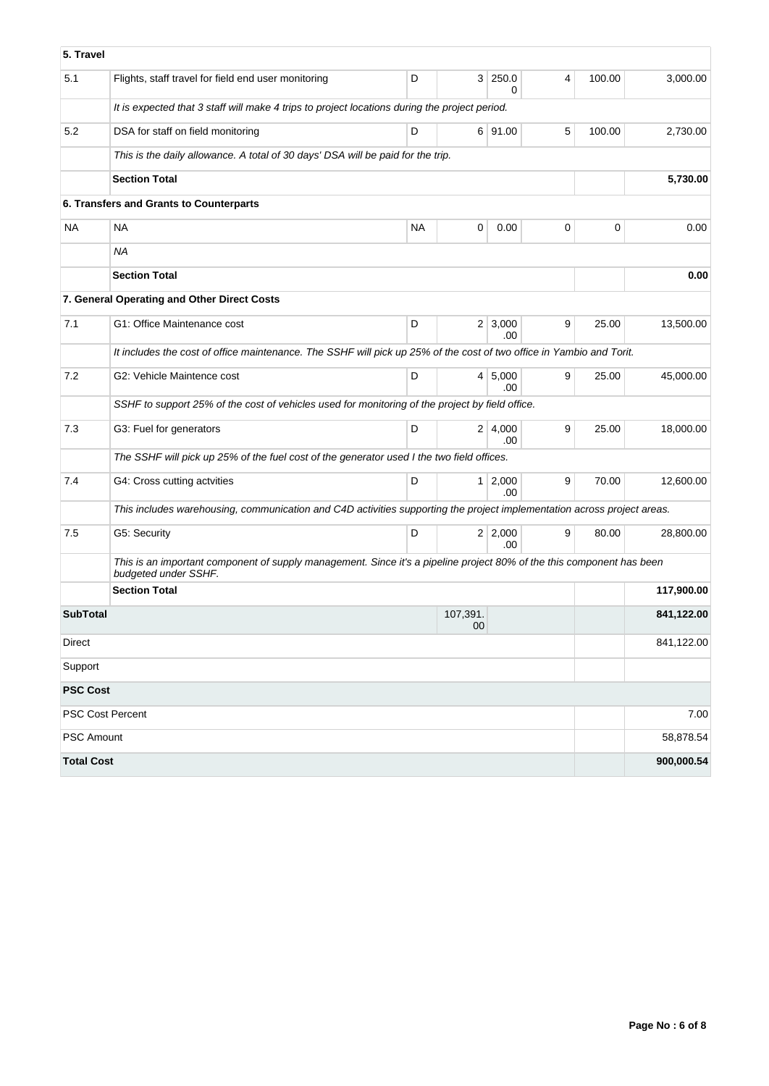| 5. Travel         |                                                                                                                                               |           |                |                       |   |        |            |
|-------------------|-----------------------------------------------------------------------------------------------------------------------------------------------|-----------|----------------|-----------------------|---|--------|------------|
| 5.1               | Flights, staff travel for field end user monitoring                                                                                           | D         | 3 <sup>1</sup> | 250.0<br>0            | 4 | 100.00 | 3,000.00   |
|                   | It is expected that 3 staff will make 4 trips to project locations during the project period.                                                 |           |                |                       |   |        |            |
| 5.2               | DSA for staff on field monitoring                                                                                                             | D         |                | 6 91.00               | 5 | 100.00 | 2.730.00   |
|                   | This is the daily allowance. A total of 30 days' DSA will be paid for the trip.                                                               |           |                |                       |   |        |            |
|                   | <b>Section Total</b>                                                                                                                          |           |                |                       |   |        | 5,730.00   |
|                   | 6. Transfers and Grants to Counterparts                                                                                                       |           |                |                       |   |        |            |
| <b>NA</b>         | NA                                                                                                                                            | <b>NA</b> | 0              | 0.00                  | 0 | 0      | 0.00       |
|                   | <b>NA</b>                                                                                                                                     |           |                |                       |   |        |            |
|                   | <b>Section Total</b>                                                                                                                          |           |                |                       |   |        | 0.00       |
|                   | 7. General Operating and Other Direct Costs                                                                                                   |           |                |                       |   |        |            |
| 7.1               | G1: Office Maintenance cost                                                                                                                   | D         |                | $2 \mid 3,000$<br>.00 | 9 | 25.00  | 13,500.00  |
|                   | It includes the cost of office maintenance. The SSHF will pick up 25% of the cost of two office in Yambio and Torit.                          |           |                |                       |   |        |            |
| 7.2               | G2: Vehicle Maintence cost                                                                                                                    | D         | 4 <sup>1</sup> | 5,000<br>.00          | 9 | 25.00  | 45,000.00  |
|                   | SSHF to support 25% of the cost of vehicles used for monitoring of the project by field office.                                               |           |                |                       |   |        |            |
| 7.3               | G3: Fuel for generators                                                                                                                       | D         |                | 2 4,000<br>.00        | 9 | 25.00  | 18,000.00  |
|                   | The SSHF will pick up 25% of the fuel cost of the generator used I the two field offices.                                                     |           |                |                       |   |        |            |
| 7.4               | G4: Cross cutting actvities                                                                                                                   | D         |                | $1 \mid 2,000$<br>.00 | 9 | 70.00  | 12,600.00  |
|                   | This includes warehousing, communication and C4D activities supporting the project implementation across project areas.                       |           |                |                       |   |        |            |
| 7.5               | G5: Security                                                                                                                                  | D         |                | 2 2,000<br>.00        | 9 | 80.00  | 28,800.00  |
|                   | This is an important component of supply management. Since it's a pipeline project 80% of the this component has been<br>budgeted under SSHF. |           |                |                       |   |        |            |
|                   | <b>Section Total</b>                                                                                                                          |           |                |                       |   |        | 117,900.00 |
| <b>SubTotal</b>   |                                                                                                                                               |           | 107,391.<br>00 |                       |   |        | 841,122.00 |
| Direct            |                                                                                                                                               |           |                |                       |   |        | 841,122.00 |
| Support           |                                                                                                                                               |           |                |                       |   |        |            |
| <b>PSC Cost</b>   |                                                                                                                                               |           |                |                       |   |        |            |
|                   | PSC Cost Percent                                                                                                                              |           |                |                       |   |        | 7.00       |
| PSC Amount        |                                                                                                                                               |           |                |                       |   |        | 58,878.54  |
| <b>Total Cost</b> |                                                                                                                                               |           |                |                       |   |        | 900,000.54 |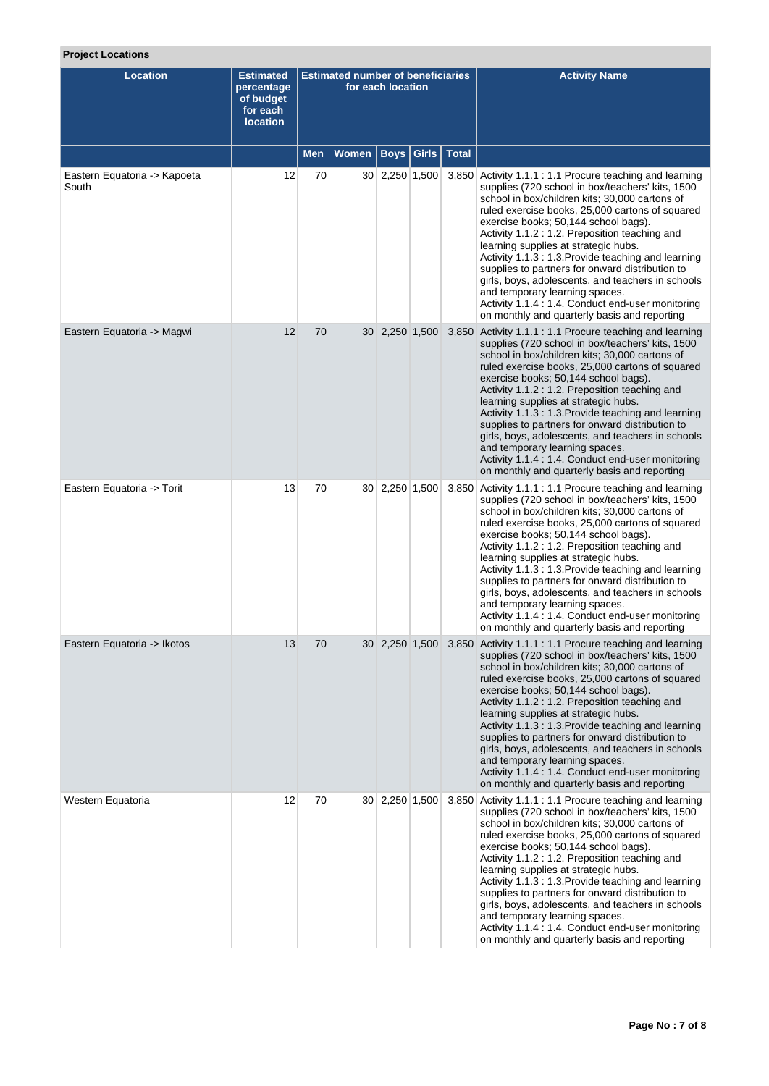# **Project Locations**

| <b>Location</b>                       | <b>Estimated</b><br>percentage<br>of budget<br>for each<br><b>location</b> |            | <b>Estimated number of beneficiaries</b> | for each location |              | <b>Activity Name</b>                                                                                                                                                                                                                                                                                                                                                                                                                                                                                                                                                                                                                                                     |
|---------------------------------------|----------------------------------------------------------------------------|------------|------------------------------------------|-------------------|--------------|--------------------------------------------------------------------------------------------------------------------------------------------------------------------------------------------------------------------------------------------------------------------------------------------------------------------------------------------------------------------------------------------------------------------------------------------------------------------------------------------------------------------------------------------------------------------------------------------------------------------------------------------------------------------------|
|                                       |                                                                            | <b>Men</b> | Women                                    | <b>Boys</b> Girls | <b>Total</b> |                                                                                                                                                                                                                                                                                                                                                                                                                                                                                                                                                                                                                                                                          |
| Eastern Equatoria -> Kapoeta<br>South | 12                                                                         | 70         |                                          | $30$ 2,250 1,500  |              | 3,850 Activity 1.1.1 : 1.1 Procure teaching and learning<br>supplies (720 school in box/teachers' kits, 1500<br>school in box/children kits; 30,000 cartons of<br>ruled exercise books, 25,000 cartons of squared<br>exercise books; 50,144 school bags).<br>Activity 1.1.2 : 1.2. Preposition teaching and<br>learning supplies at strategic hubs.<br>Activity 1.1.3 : 1.3. Provide teaching and learning<br>supplies to partners for onward distribution to<br>girls, boys, adolescents, and teachers in schools<br>and temporary learning spaces.<br>Activity 1.1.4 : 1.4. Conduct end-user monitoring<br>on monthly and quarterly basis and reporting                |
| Eastern Equatoria -> Magwi            | 12                                                                         | 70         |                                          | 30 2,250 1,500    |              | 3,850 Activity 1.1.1 : 1.1 Procure teaching and learning<br>supplies (720 school in box/teachers' kits, 1500<br>school in box/children kits; 30,000 cartons of<br>ruled exercise books, 25,000 cartons of squared<br>exercise books; 50,144 school bags).<br>Activity 1.1.2 : 1.2. Preposition teaching and<br>learning supplies at strategic hubs.<br>Activity 1.1.3: 1.3. Provide teaching and learning<br>supplies to partners for onward distribution to<br>girls, boys, adolescents, and teachers in schools<br>and temporary learning spaces.<br>Activity 1.1.4 : 1.4. Conduct end-user monitoring<br>on monthly and quarterly basis and reporting                 |
| Eastern Equatoria -> Torit            | 13                                                                         | 70         |                                          | 30 2,250 1,500    | 3,850        | Activity 1.1.1 : 1.1 Procure teaching and learning<br>supplies (720 school in box/teachers' kits, 1500<br>school in box/children kits; 30,000 cartons of<br>ruled exercise books, 25,000 cartons of squared<br>exercise books; 50,144 school bags).<br>Activity 1.1.2 : 1.2. Preposition teaching and<br>learning supplies at strategic hubs.<br>Activity 1.1.3 : 1.3. Provide teaching and learning<br>supplies to partners for onward distribution to<br>girls, boys, adolescents, and teachers in schools<br>and temporary learning spaces.<br>Activity 1.1.4 : 1.4. Conduct end-user monitoring<br>on monthly and quarterly basis and reporting                      |
| Eastern Equatoria -> Ikotos           | 13                                                                         | 70         |                                          |                   |              | 30 2,250 1,500 3,850 Activity 1.1.1 : 1.1 Procure teaching and learning<br>supplies (720 school in box/teachers' kits, 1500<br>school in box/children kits; 30,000 cartons of<br>ruled exercise books, 25,000 cartons of squared<br>exercise books; 50,144 school bags).<br>Activity 1.1.2 : 1.2. Preposition teaching and<br>learning supplies at strategic hubs.<br>Activity 1.1.3 : 1.3. Provide teaching and learning<br>supplies to partners for onward distribution to<br>girls, boys, adolescents, and teachers in schools<br>and temporary learning spaces.<br>Activity 1.1.4 : 1.4. Conduct end-user monitoring<br>on monthly and quarterly basis and reporting |
| Western Equatoria                     | 12                                                                         | 70         |                                          | 30 2,250 1,500    | 3,850        | Activity 1.1.1 : 1.1 Procure teaching and learning<br>supplies (720 school in box/teachers' kits, 1500<br>school in box/children kits; 30,000 cartons of<br>ruled exercise books, 25,000 cartons of squared<br>exercise books; 50,144 school bags).<br>Activity 1.1.2 : 1.2. Preposition teaching and<br>learning supplies at strategic hubs.<br>Activity 1.1.3: 1.3. Provide teaching and learning<br>supplies to partners for onward distribution to<br>girls, boys, adolescents, and teachers in schools<br>and temporary learning spaces.<br>Activity 1.1.4 : 1.4. Conduct end-user monitoring<br>on monthly and quarterly basis and reporting                       |